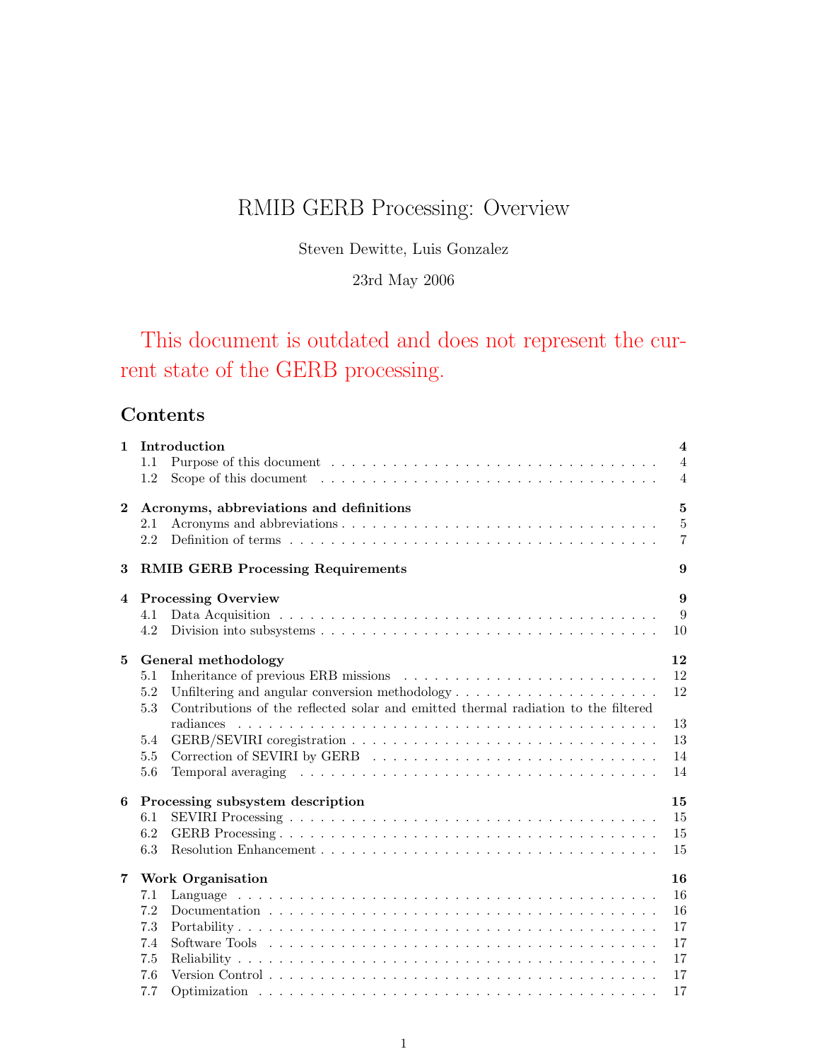# RMIB GERB Processing: Overview

Steven Dewitte, Luis Gonzalez

# 23rd May 2006

# This document is outdated and does not represent the current state of the GERB processing.

# Contents

| $\mathbf{1}$   | Introduction<br>1.1<br>1.2                                                                                                                                                                                                                                     | $\overline{\mathbf{4}}$<br>$\overline{4}$<br>$\overline{4}$ |
|----------------|----------------------------------------------------------------------------------------------------------------------------------------------------------------------------------------------------------------------------------------------------------------|-------------------------------------------------------------|
| $\bf{2}$       | Acronyms, abbreviations and definitions<br>2.1<br>2.2                                                                                                                                                                                                          | $\mathbf{5}$<br>5<br>$\overline{7}$                         |
| 3              | <b>RMIB GERB Processing Requirements</b>                                                                                                                                                                                                                       | 9                                                           |
| 4              | <b>Processing Overview</b><br>4.1<br>4.2                                                                                                                                                                                                                       | 9<br>9<br>10                                                |
| 5              | General methodology<br>5.1<br>5.2<br>Unfiltering and angular conversion methodology $\dots \dots \dots \dots \dots \dots \dots$<br>Contributions of the reflected solar and emitted thermal radiation to the filtered<br>5.3<br>radiances<br>5.4<br>5.5<br>5.6 | 12<br>12<br>12<br>13<br>13<br>14<br>14                      |
| 6              | Processing subsystem description<br>6.1<br>6.2<br>6.3                                                                                                                                                                                                          | 15<br>15<br>15<br>15                                        |
| $\overline{7}$ | <b>Work Organisation</b><br>7.1<br>7.2<br>7.3<br>7.4<br>7.5<br>7.6<br>7.7                                                                                                                                                                                      | 16<br>16<br>16<br>17<br>17<br>17<br>17<br>17                |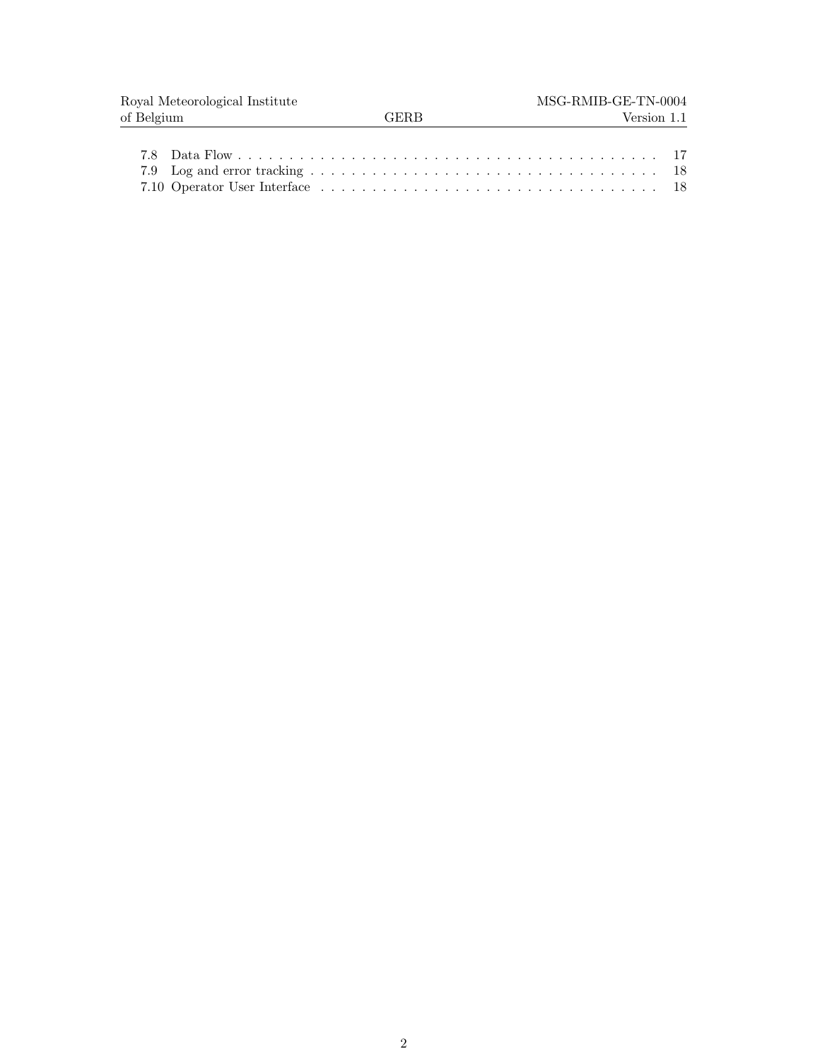| Royal Meteorological Institute |        | MSG-RMIB-GE-TN-0004 |
|--------------------------------|--------|---------------------|
| of Belgium                     | '≑ER R | Version 1.1         |
|                                |        |                     |
|                                |        |                     |
|                                |        |                     |
|                                |        |                     |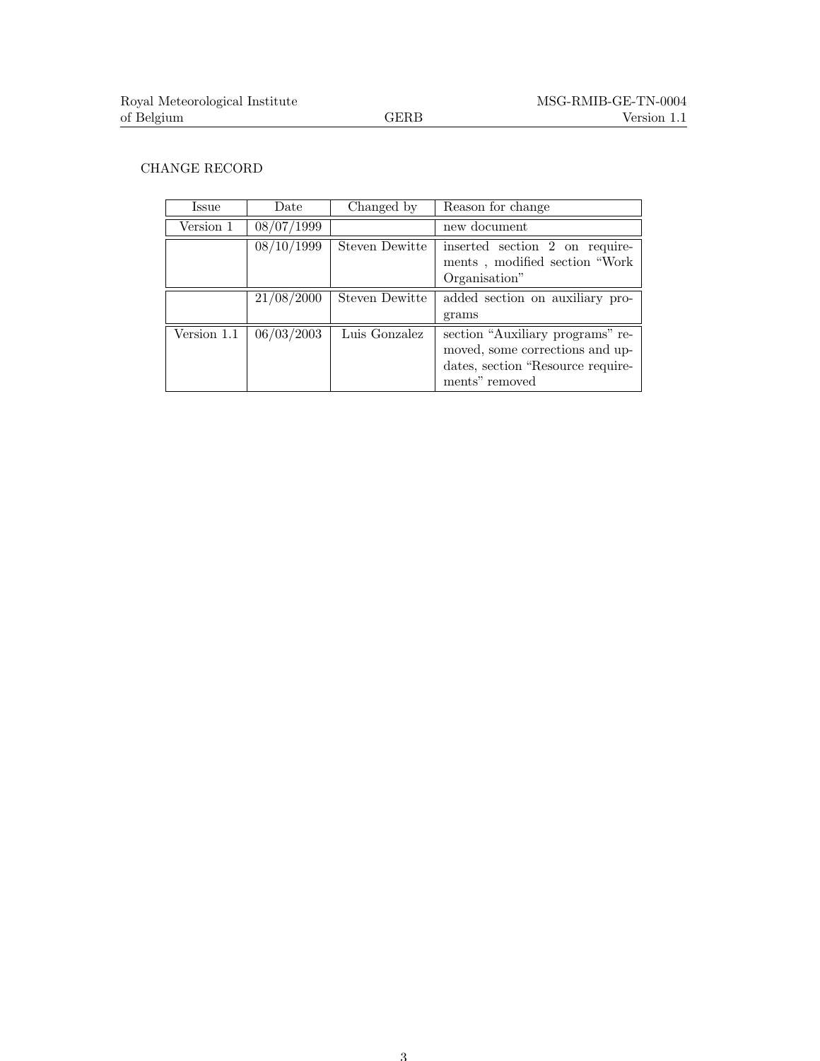## CHANGE RECORD

| Issue       | Date       | Changed by     | Reason for change                                                                                                          |
|-------------|------------|----------------|----------------------------------------------------------------------------------------------------------------------------|
| Version 1   | 08/07/1999 |                | new document                                                                                                               |
|             | 08/10/1999 | Steven Dewitte | inserted section 2 on require-<br>ments, modified section "Work<br>Organisation"                                           |
|             | 21/08/2000 | Steven Dewitte | added section on auxiliary pro-                                                                                            |
|             |            |                | grams                                                                                                                      |
| Version 1.1 | 06/03/2003 | Luis Gonzalez  | section "Auxiliary programs" re-<br>moved, some corrections and up-<br>dates, section "Resource require-<br>ments" removed |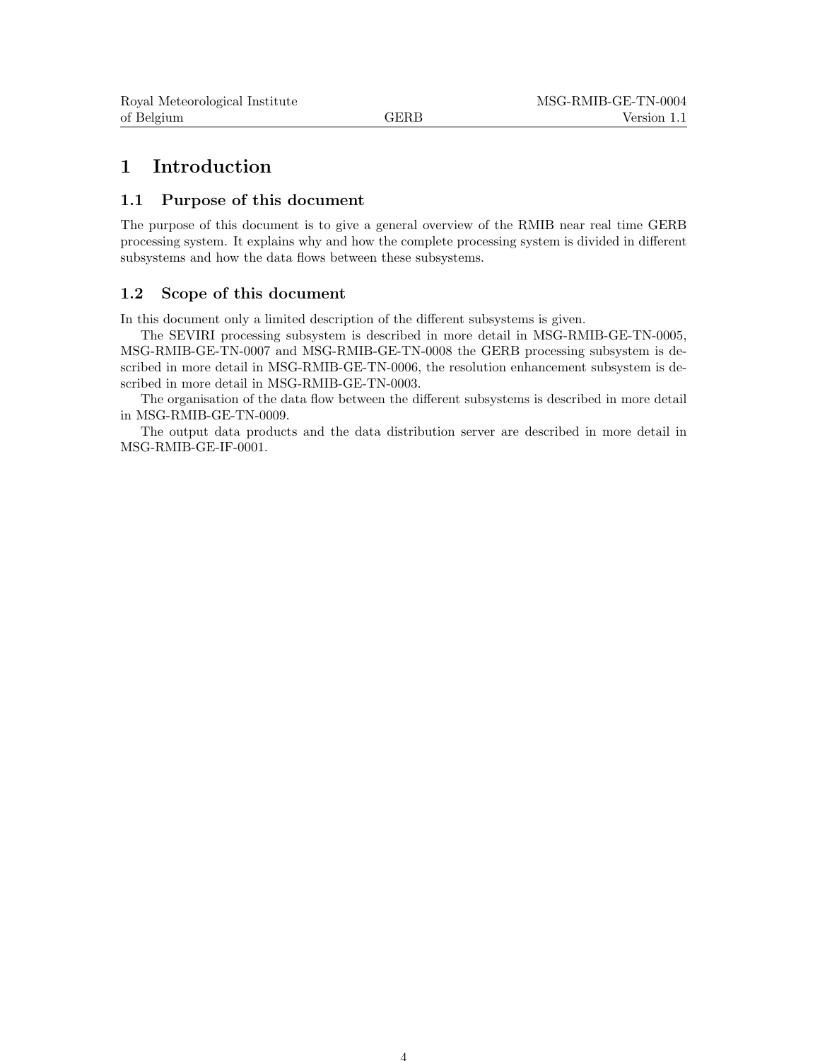# 1 Introduction

### 1.1 Purpose of this document

The purpose of this document is to give a general overview of the RMIB near real time GERB processing system. It explains why and how the complete processing system is divided in different subsystems and how the data flows between these subsystems.

# 1.2 Scope of this document

In this document only a limited description of the different subsystems is given.

The SEVIRI processing subsystem is described in more detail in MSG-RMIB-GE-TN-0005, MSG-RMIB-GE-TN-0007 and MSG-RMIB-GE-TN-0008 the GERB processing subsystem is described in more detail in MSG-RMIB-GE-TN-0006, the resolution enhancement subsystem is described in more detail in MSG-RMIB-GE-TN-0003.

The organisation of the data flow between the different subsystems is described in more detail in MSG-RMIB-GE-TN-0009.

The output data products and the data distribution server are described in more detail in MSG-RMIB-GE-IF-0001.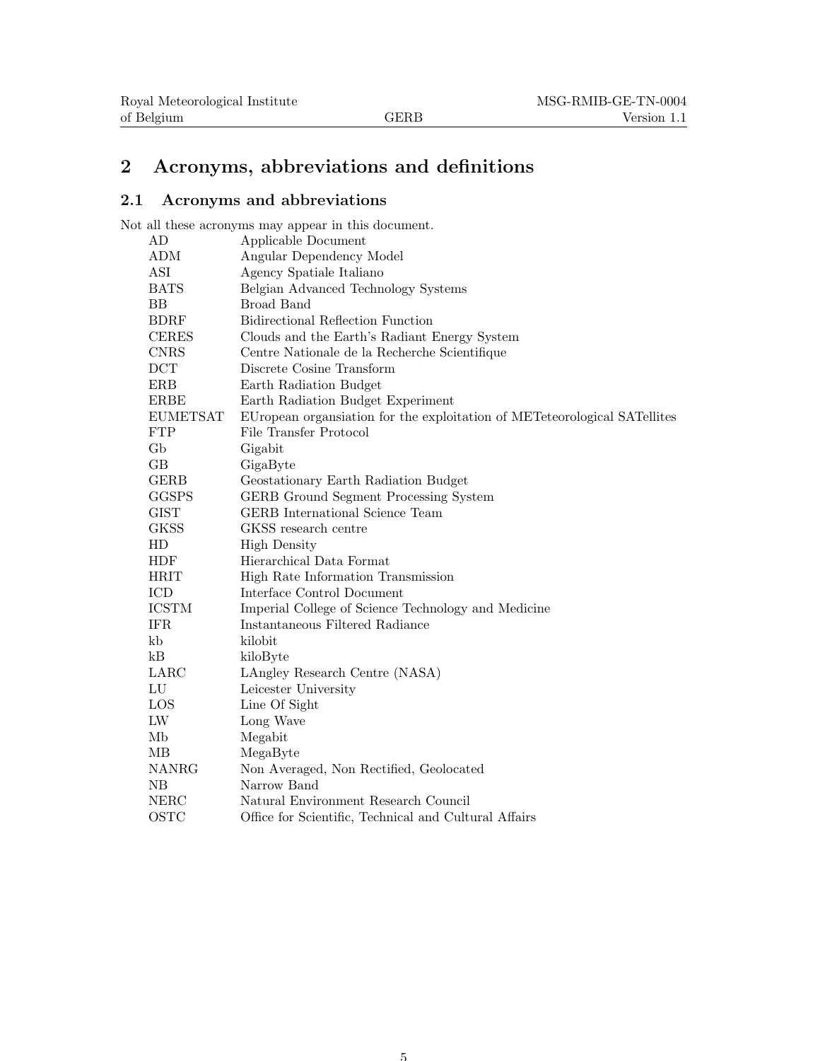# 2 Acronyms, abbreviations and definitions

# 2.1 Acronyms and abbreviations

Not all these acronyms may appear in this document.

| AD              | Applicable Document                                                       |
|-----------------|---------------------------------------------------------------------------|
| ADM             | Angular Dependency Model                                                  |
| ASI             | Agency Spatiale Italiano                                                  |
| <b>BATS</b>     | Belgian Advanced Technology Systems                                       |
| BB              | Broad Band                                                                |
| <b>BDRF</b>     | Bidirectional Reflection Function                                         |
| <b>CERES</b>    | Clouds and the Earth's Radiant Energy System                              |
| <b>CNRS</b>     | Centre Nationale de la Recherche Scientifique                             |
| <b>DCT</b>      | Discrete Cosine Transform                                                 |
| <b>ERB</b>      | Earth Radiation Budget                                                    |
| <b>ERBE</b>     | Earth Radiation Budget Experiment                                         |
| <b>EUMETSAT</b> | EUropean organization for the exploitation of METeteorological SATellites |
| ${\rm FTP}$     | File Transfer Protocol                                                    |
| $\mathrm{Gb}$   | Gigabit                                                                   |
| GВ              | GigaByte                                                                  |
| <b>GERB</b>     | Geostationary Earth Radiation Budget                                      |
| <b>GGSPS</b>    | GERB Ground Segment Processing System                                     |
| <b>GIST</b>     | <b>GERB</b> International Science Team                                    |
| GKSS            | GKSS research centre                                                      |
| HD              | <b>High Density</b>                                                       |
| <b>HDF</b>      | Hierarchical Data Format                                                  |
| <b>HRIT</b>     | High Rate Information Transmission                                        |
| ICD             | Interface Control Document                                                |
| <b>ICSTM</b>    | Imperial College of Science Technology and Medicine                       |
| <b>IFR</b>      | Instantaneous Filtered Radiance                                           |
| kb              | kilobit                                                                   |
| kB              | kiloByte                                                                  |
| LARC            | LAngley Research Centre (NASA)                                            |
| LU              | Leicester University                                                      |
| <b>LOS</b>      | Line Of Sight                                                             |
| ${\rm LW}$      | Long Wave                                                                 |
| Mb              | Megabit                                                                   |
| MВ              | MegaByte                                                                  |
| <b>NANRG</b>    | Non Averaged, Non Rectified, Geolocated                                   |
| NB              | Narrow Band                                                               |
| <b>NERC</b>     | Natural Environment Research Council                                      |
| OSTC            | Office for Scientific, Technical and Cultural Affairs                     |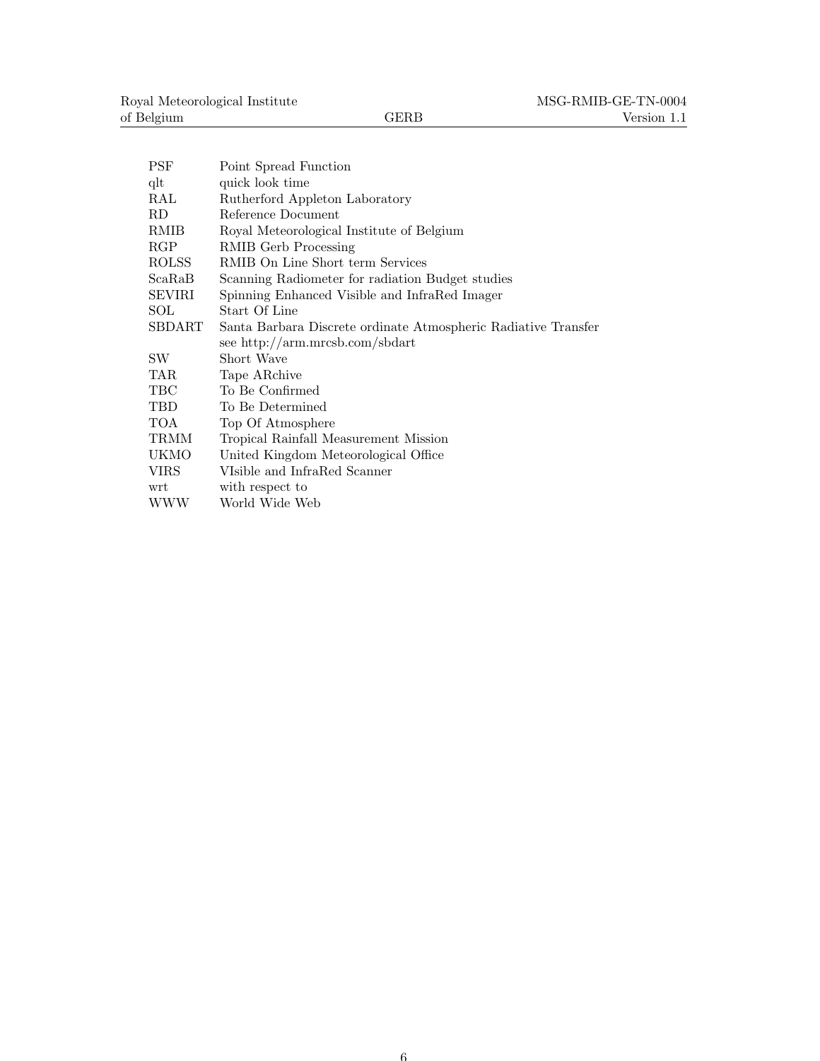| PSF                                                     | Point Spread Function                                          |  |
|---------------------------------------------------------|----------------------------------------------------------------|--|
| $_{\rm qlt}$                                            | quick look time                                                |  |
| RAL<br>Rutherford Appleton Laboratory                   |                                                                |  |
| Reference Document<br>RD                                |                                                                |  |
| RMIB                                                    | Royal Meteorological Institute of Belgium                      |  |
| RGP                                                     | RMIB Gerb Processing                                           |  |
| ROLSS                                                   | RMIB On Line Short term Services                               |  |
| ScaRaB                                                  | Scanning Radiometer for radiation Budget studies               |  |
| SEVIRI<br>Spinning Enhanced Visible and InfraRed Imager |                                                                |  |
| SOL                                                     | Start Of Line                                                  |  |
| SBDART                                                  | Santa Barbara Discrete ordinate Atmospheric Radiative Transfer |  |
|                                                         | see http://arm.mrcsb.com/sbdart                                |  |
| SW.                                                     | Short Wave                                                     |  |
| TAR.                                                    | Tape ARchive                                                   |  |
| TBC                                                     | To Be Confirmed                                                |  |
| TBD                                                     | To Be Determined                                               |  |
| TOA                                                     | Top Of Atmosphere                                              |  |
| TRMM                                                    | Tropical Rainfall Measurement Mission                          |  |
| UKMO                                                    | United Kingdom Meteorological Office                           |  |
| <b>VIRS</b>                                             | VIsible and InfraRed Scanner                                   |  |
| wrt                                                     | with respect to                                                |  |
| WWW                                                     | World Wide Web                                                 |  |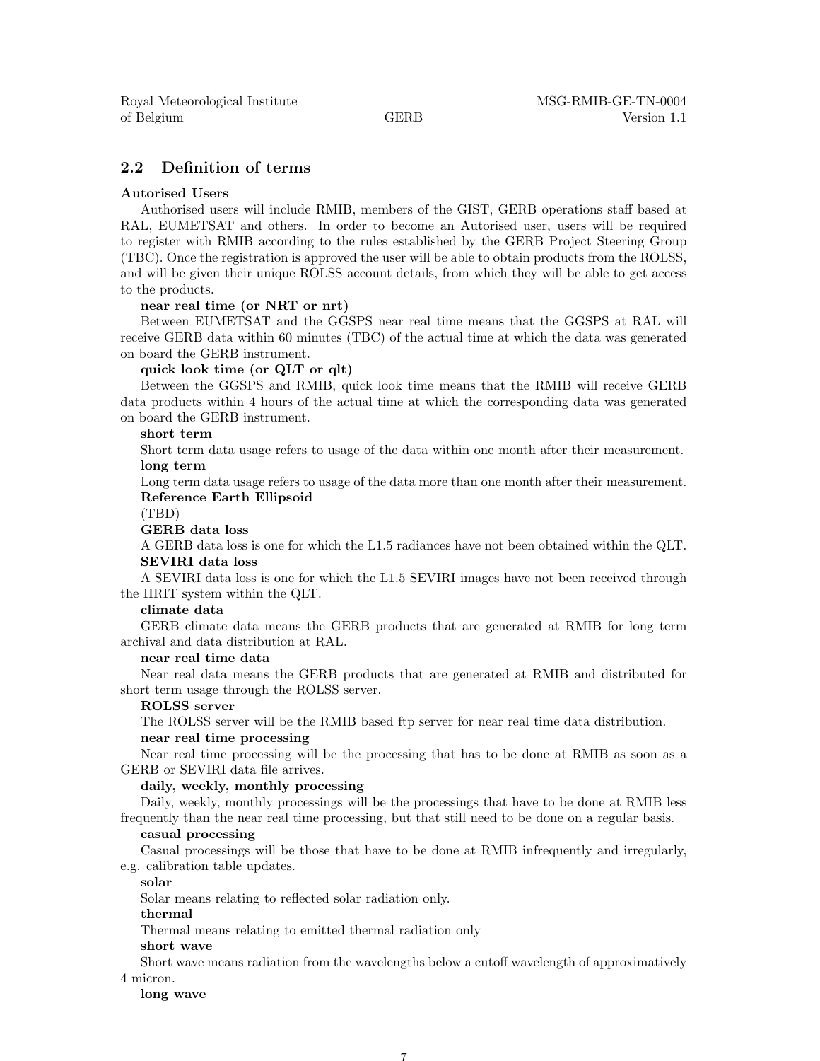# 2.2 Definition of terms

#### Autorised Users

Authorised users will include RMIB, members of the GIST, GERB operations staff based at RAL, EUMETSAT and others. In order to become an Autorised user, users will be required to register with RMIB according to the rules established by the GERB Project Steering Group (TBC). Once the registration is approved the user will be able to obtain products from the ROLSS, and will be given their unique ROLSS account details, from which they will be able to get access to the products.

#### near real time (or NRT or nrt)

Between EUMETSAT and the GGSPS near real time means that the GGSPS at RAL will receive GERB data within 60 minutes (TBC) of the actual time at which the data was generated on board the GERB instrument.

#### quick look time (or QLT or qlt)

Between the GGSPS and RMIB, quick look time means that the RMIB will receive GERB data products within 4 hours of the actual time at which the corresponding data was generated on board the GERB instrument.

#### short term

Short term data usage refers to usage of the data within one month after their measurement. long term

Long term data usage refers to usage of the data more than one month after their measurement. Reference Earth Ellipsoid

(TBD)

#### GERB data loss

A GERB data loss is one for which the L1.5 radiances have not been obtained within the QLT. SEVIRI data loss

A SEVIRI data loss is one for which the L1.5 SEVIRI images have not been received through the HRIT system within the QLT.

#### climate data

GERB climate data means the GERB products that are generated at RMIB for long term archival and data distribution at RAL.

#### near real time data

Near real data means the GERB products that are generated at RMIB and distributed for short term usage through the ROLSS server.

#### ROLSS server

The ROLSS server will be the RMIB based ftp server for near real time data distribution. near real time processing

Near real time processing will be the processing that has to be done at RMIB as soon as a GERB or SEVIRI data file arrives.

#### daily, weekly, monthly processing

Daily, weekly, monthly processings will be the processings that have to be done at RMIB less frequently than the near real time processing, but that still need to be done on a regular basis.

#### casual processing

Casual processings will be those that have to be done at RMIB infrequently and irregularly, e.g. calibration table updates.

#### solar

Solar means relating to reflected solar radiation only.

#### thermal

Thermal means relating to emitted thermal radiation only

#### short wave

Short wave means radiation from the wavelengths below a cutoff wavelength of approximatively 4 micron.

#### long wave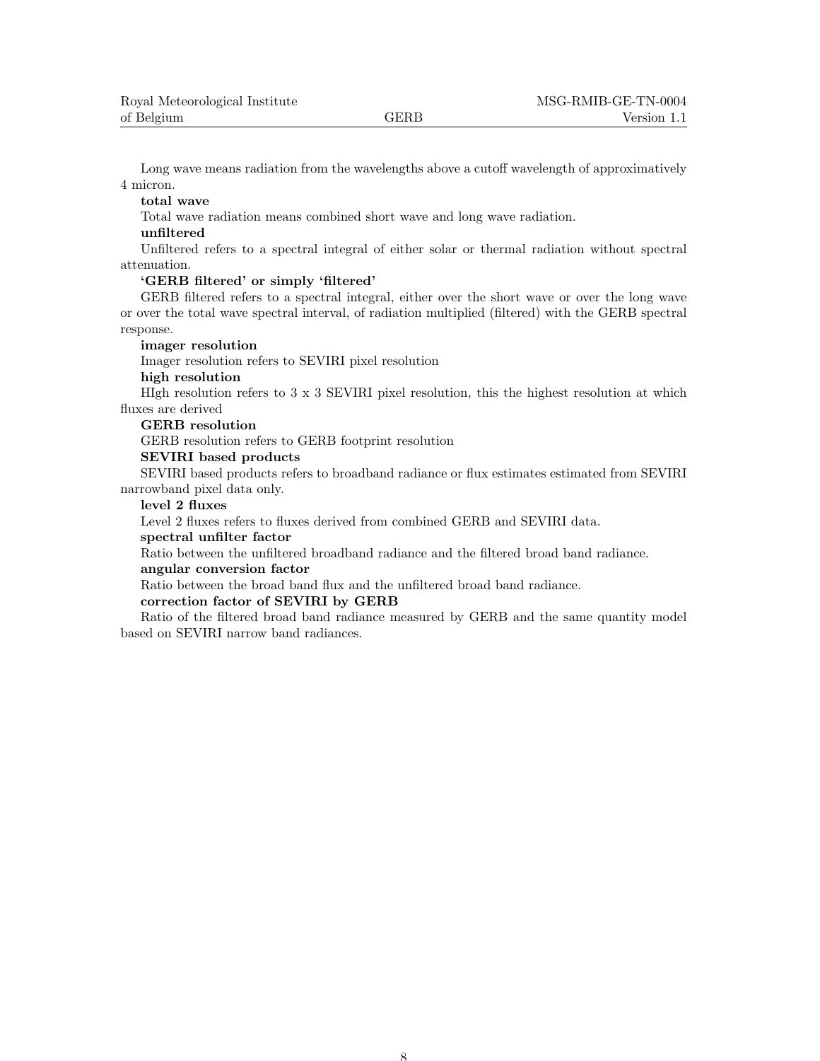Long wave means radiation from the wavelengths above a cutoff wavelength of approximatively 4 micron.

#### total wave

Total wave radiation means combined short wave and long wave radiation.

#### unfiltered

Unfiltered refers to a spectral integral of either solar or thermal radiation without spectral attenuation.

#### 'GERB filtered' or simply 'filtered'

GERB filtered refers to a spectral integral, either over the short wave or over the long wave or over the total wave spectral interval, of radiation multiplied (filtered) with the GERB spectral response.

#### imager resolution

Imager resolution refers to SEVIRI pixel resolution

#### high resolution

HIgh resolution refers to  $3 \times 3$  SEVIRI pixel resolution, this the highest resolution at which fluxes are derived

#### GERB resolution

GERB resolution refers to GERB footprint resolution

#### SEVIRI based products

SEVIRI based products refers to broadband radiance or flux estimates estimated from SEVIRI narrowband pixel data only.

#### level 2 fluxes

Level 2 fluxes refers to fluxes derived from combined GERB and SEVIRI data.

#### spectral unfilter factor

Ratio between the unfiltered broadband radiance and the filtered broad band radiance.

#### angular conversion factor

Ratio between the broad band flux and the unfiltered broad band radiance.

#### correction factor of SEVIRI by GERB

Ratio of the filtered broad band radiance measured by GERB and the same quantity model based on SEVIRI narrow band radiances.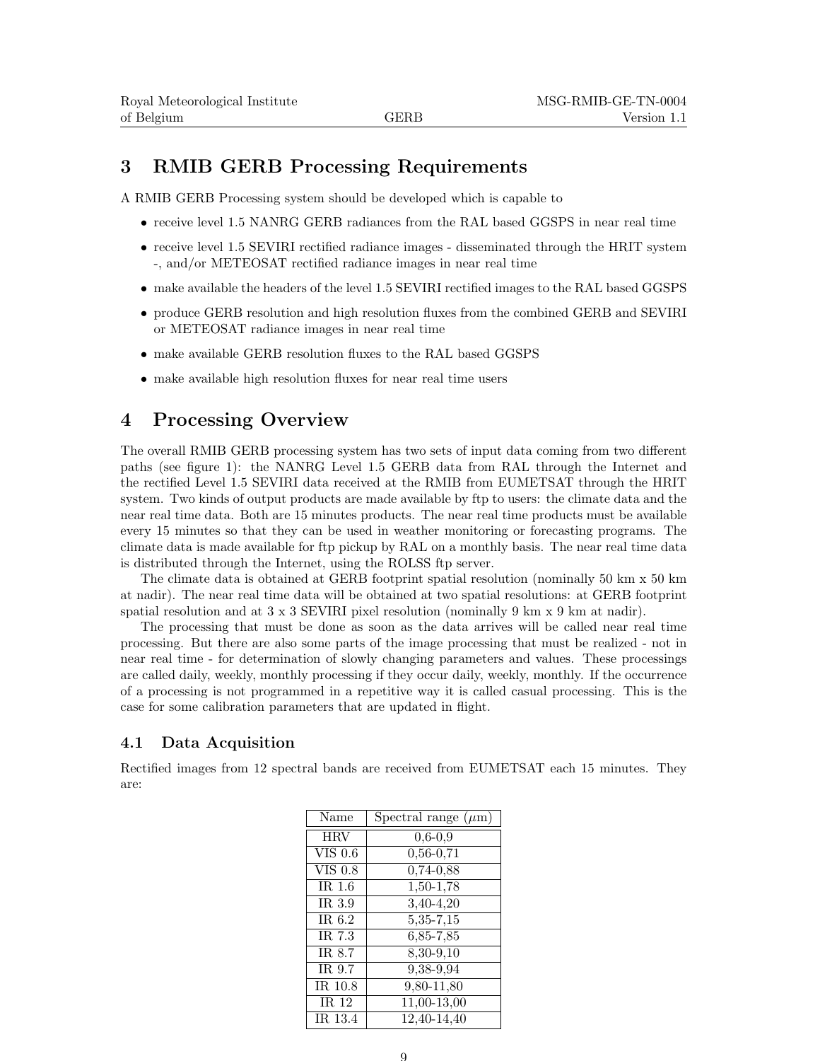# 3 RMIB GERB Processing Requirements

A RMIB GERB Processing system should be developed which is capable to

- receive level 1.5 NANRG GERB radiances from the RAL based GGSPS in near real time
- receive level 1.5 SEVIRI rectified radiance images disseminated through the HRIT system -, and/or METEOSAT rectified radiance images in near real time
- make available the headers of the level 1.5 SEVIRI rectified images to the RAL based GGSPS
- produce GERB resolution and high resolution fluxes from the combined GERB and SEVIRI or METEOSAT radiance images in near real time
- make available GERB resolution fluxes to the RAL based GGSPS
- make available high resolution fluxes for near real time users

# 4 Processing Overview

The overall RMIB GERB processing system has two sets of input data coming from two different paths (see figure 1): the NANRG Level 1.5 GERB data from RAL through the Internet and the rectified Level 1.5 SEVIRI data received at the RMIB from EUMETSAT through the HRIT system. Two kinds of output products are made available by ftp to users: the climate data and the near real time data. Both are 15 minutes products. The near real time products must be available every 15 minutes so that they can be used in weather monitoring or forecasting programs. The climate data is made available for ftp pickup by RAL on a monthly basis. The near real time data is distributed through the Internet, using the ROLSS ftp server.

The climate data is obtained at GERB footprint spatial resolution (nominally 50 km x 50 km at nadir). The near real time data will be obtained at two spatial resolutions: at GERB footprint spatial resolution and at 3 x 3 SEVIRI pixel resolution (nominally 9 km x 9 km at nadir).

The processing that must be done as soon as the data arrives will be called near real time processing. But there are also some parts of the image processing that must be realized - not in near real time - for determination of slowly changing parameters and values. These processings are called daily, weekly, monthly processing if they occur daily, weekly, monthly. If the occurrence of a processing is not programmed in a repetitive way it is called casual processing. This is the case for some calibration parameters that are updated in flight.

### 4.1 Data Acquisition

Rectified images from 12 spectral bands are received from EUMETSAT each 15 minutes. They are:

| Name           | Spectral range $(\mu m)$ |
|----------------|--------------------------|
| <b>HRV</b>     | $0,6 - 0,9$              |
| <b>VIS 0.6</b> | $0,56 - 0,71$            |
| <b>VIS 0.8</b> | $0,74-0,88$              |
| IR $1.6$       | $1,50-1,78$              |
| IR 3.9         | $3,40-4,20$              |
| IR 6.2         | $5,35-7,15$              |
| IR 7.3         | 6,85-7,85                |
| IR 8.7         | 8,30-9,10                |
| IR 9.7         | $\overline{9,38-9,94}$   |
| IR 10.8        | 9,80-11,80               |
| IR $12$        | 11,00-13,00              |
| IR 13.4        | 12,40-14,40              |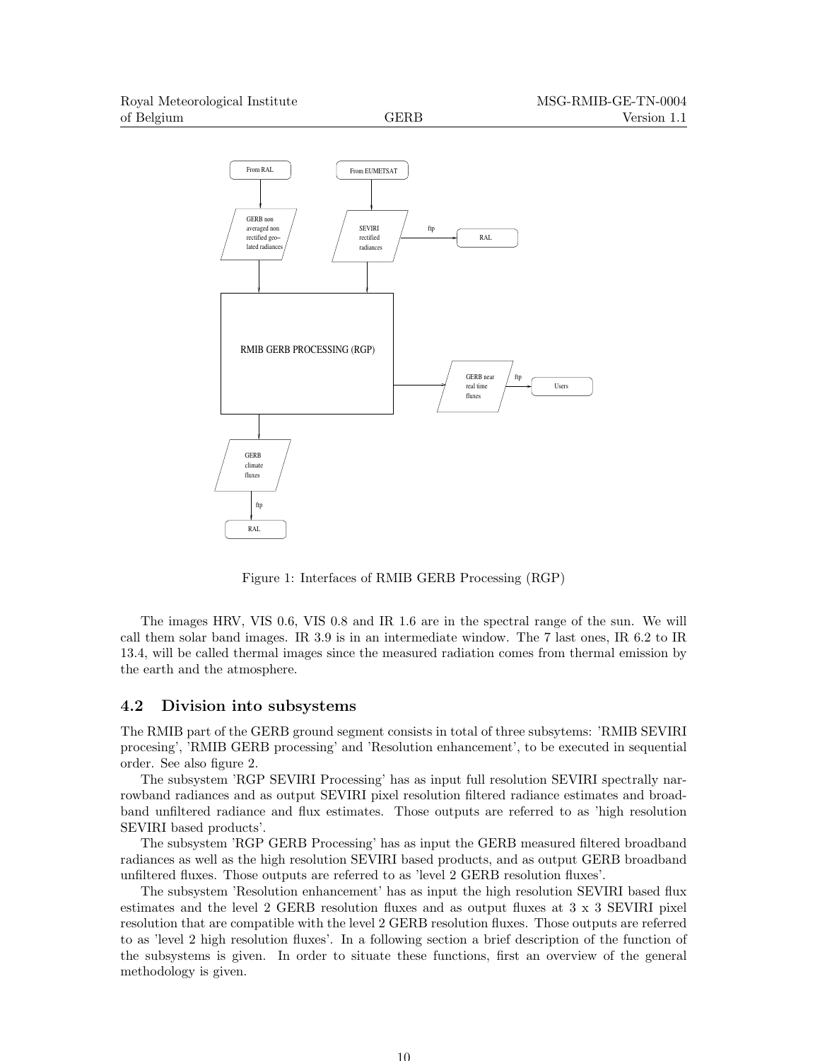

Figure 1: Interfaces of RMIB GERB Processing (RGP)

The images HRV, VIS 0.6, VIS 0.8 and IR 1.6 are in the spectral range of the sun. We will call them solar band images. IR 3.9 is in an intermediate window. The 7 last ones, IR 6.2 to IR 13.4, will be called thermal images since the measured radiation comes from thermal emission by the earth and the atmosphere.

#### 4.2 Division into subsystems

The RMIB part of the GERB ground segment consists in total of three subsytems: 'RMIB SEVIRI procesing', 'RMIB GERB processing' and 'Resolution enhancement', to be executed in sequential order. See also figure 2.

The subsystem 'RGP SEVIRI Processing' has as input full resolution SEVIRI spectrally narrowband radiances and as output SEVIRI pixel resolution filtered radiance estimates and broadband unfiltered radiance and flux estimates. Those outputs are referred to as 'high resolution SEVIRI based products'.

The subsystem 'RGP GERB Processing' has as input the GERB measured filtered broadband radiances as well as the high resolution SEVIRI based products, and as output GERB broadband unfiltered fluxes. Those outputs are referred to as 'level 2 GERB resolution fluxes'.

The subsystem 'Resolution enhancement' has as input the high resolution SEVIRI based flux estimates and the level 2 GERB resolution fluxes and as output fluxes at 3 x 3 SEVIRI pixel resolution that are compatible with the level 2 GERB resolution fluxes. Those outputs are referred to as 'level 2 high resolution fluxes'. In a following section a brief description of the function of the subsystems is given. In order to situate these functions, first an overview of the general methodology is given.

10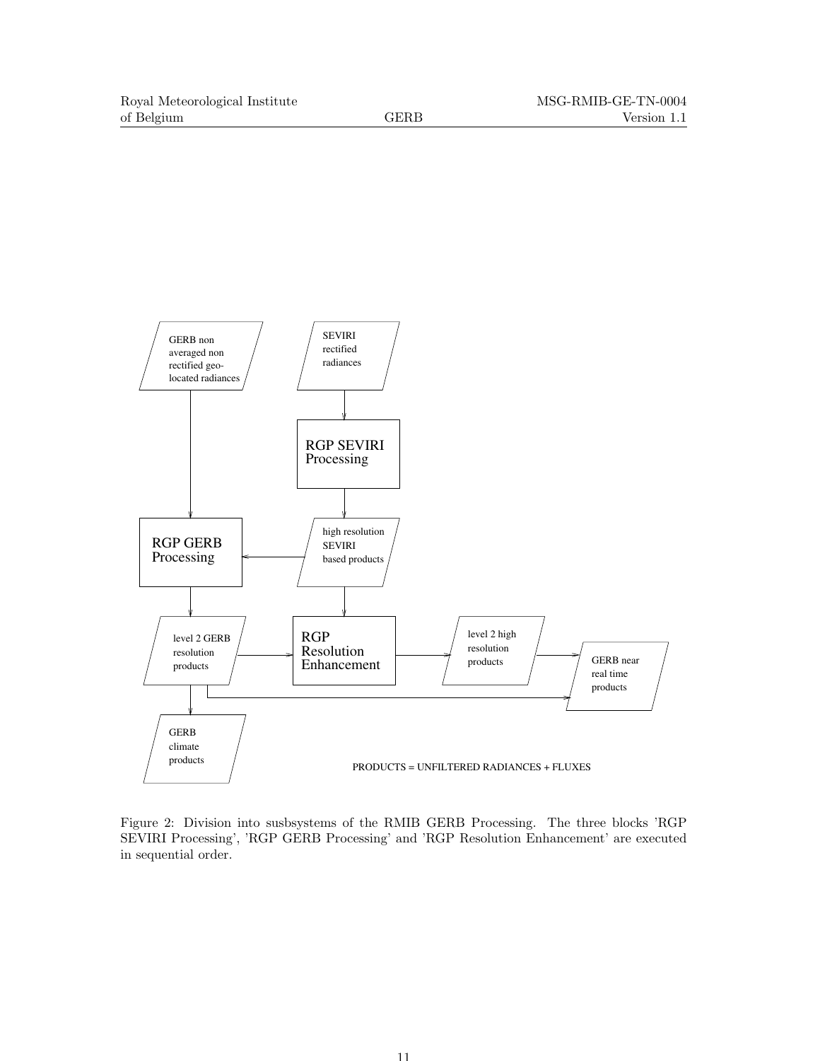

Figure 2: Division into susbsystems of the RMIB GERB Processing. The three blocks 'RGP SEVIRI Processing', 'RGP GERB Processing' and 'RGP Resolution Enhancement' are executed in sequential order.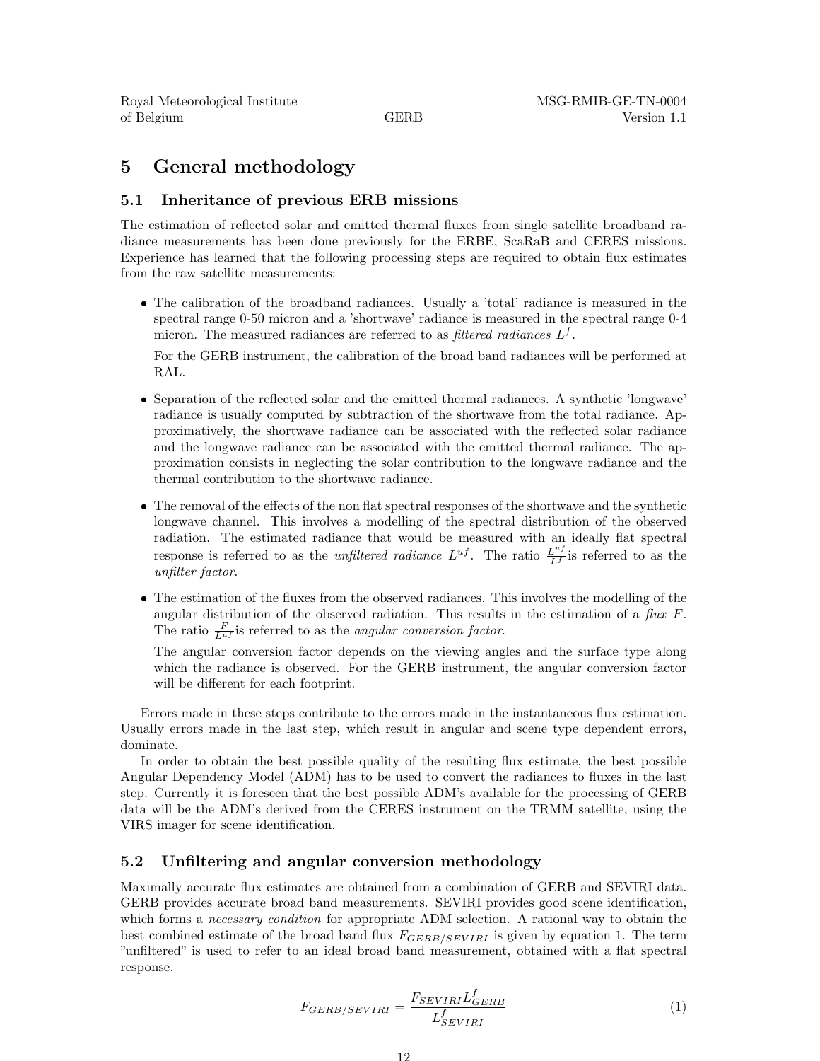# 5 General methodology

### 5.1 Inheritance of previous ERB missions

The estimation of reflected solar and emitted thermal fluxes from single satellite broadband radiance measurements has been done previously for the ERBE, ScaRaB and CERES missions. Experience has learned that the following processing steps are required to obtain flux estimates from the raw satellite measurements:

• The calibration of the broadband radiances. Usually a 'total' radiance is measured in the spectral range 0-50 micron and a 'shortwave' radiance is measured in the spectral range 0-4 micron. The measured radiances are referred to as *filtered radiances*  $L<sup>f</sup>$ .

For the GERB instrument, the calibration of the broad band radiances will be performed at RAL.

- Separation of the reflected solar and the emitted thermal radiances. A synthetic 'longwave' radiance is usually computed by subtraction of the shortwave from the total radiance. Approximatively, the shortwave radiance can be associated with the reflected solar radiance and the longwave radiance can be associated with the emitted thermal radiance. The approximation consists in neglecting the solar contribution to the longwave radiance and the thermal contribution to the shortwave radiance.
- The removal of the effects of the non flat spectral responses of the shortwave and the synthetic longwave channel. This involves a modelling of the spectral distribution of the observed radiation. The estimated radiance that would be measured with an ideally flat spectral response is referred to as the *unfiltered radiance*  $L^{uf}$ . The ratio  $\frac{L^{uf}}{L^f}$  is referred to as the unfilter factor.
- The estimation of the fluxes from the observed radiances. This involves the modelling of the angular distribution of the observed radiation. This results in the estimation of a  $flux F$ . The ratio  $\frac{F}{L^{uf}}$  is referred to as the *angular conversion factor*.

The angular conversion factor depends on the viewing angles and the surface type along which the radiance is observed. For the GERB instrument, the angular conversion factor will be different for each footprint.

Errors made in these steps contribute to the errors made in the instantaneous flux estimation. Usually errors made in the last step, which result in angular and scene type dependent errors, dominate.

In order to obtain the best possible quality of the resulting flux estimate, the best possible Angular Dependency Model (ADM) has to be used to convert the radiances to fluxes in the last step. Currently it is foreseen that the best possible ADM's available for the processing of GERB data will be the ADM's derived from the CERES instrument on the TRMM satellite, using the VIRS imager for scene identification.

# 5.2 Unfiltering and angular conversion methodology

Maximally accurate flux estimates are obtained from a combination of GERB and SEVIRI data. GERB provides accurate broad band measurements. SEVIRI provides good scene identification, which forms a *necessary condition* for appropriate ADM selection. A rational way to obtain the best combined estimate of the broad band flux  $F_{GERB/SEVIRI}$  is given by equation 1. The term "unfiltered" is used to refer to an ideal broad band measurement, obtained with a flat spectral response.

$$
F_{GERB/SEVIRI} = \frac{F_{SEVIRI} L_{GERB}^f}{L_{SEVIRI}^f}
$$
\n(1)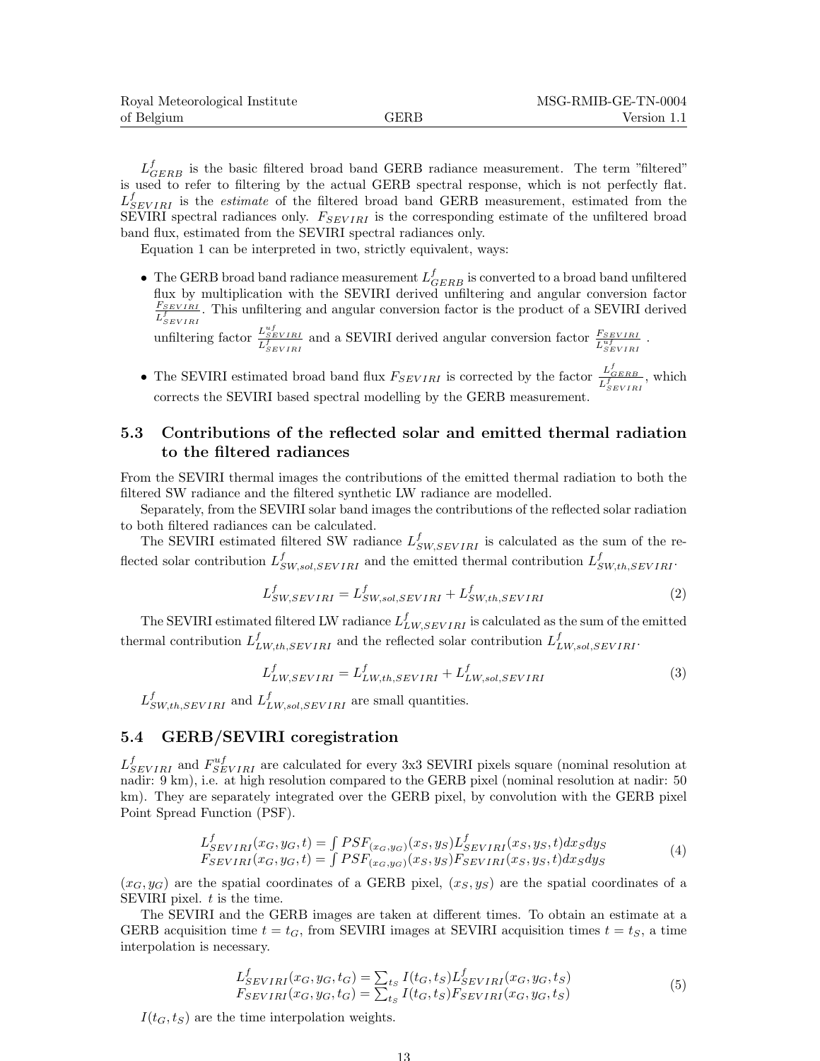$L_{GERB}^f$  is the basic filtered broad band GERB radiance measurement. The term "filtered" is used to refer to filtering by the actual GERB spectral response, which is not perfectly flat.  $L_{SEVIRI}^{f}$  is the *estimate* of the filtered broad band GERB measurement, estimated from the SEVIRI spectral radiances only.  $F_{SEVIRI}$  is the corresponding estimate of the unfiltered broad band flux, estimated from the SEVIRI spectral radiances only.

Equation 1 can be interpreted in two, strictly equivalent, ways:

• The GERB broad band radiance measurement  $L_{GERB}^f$  is converted to a broad band unfiltered flux by multiplication with the SEVIRI derived unfiltering and angular conversion factor  $F_{SEVIRI}$  $\frac{F_{SEVIRI}}{L_{SEVIRI}^f}$ . This unfiltering and angular conversion factor is the product of a SEVIRI derived

unfiltering factor  $\frac{L_{SEVIRI}^{uf}}{L_{SEVIRI}^f}$  and a SEVIRI derived angular conversion factor  $\frac{F_{SEVIRI}}{L_{SEVIRI}^{uf}}$ .

• The SEVIRI estimated broad band flux  $F_{SEVIRI}$  is corrected by the factor  $\frac{L_{GERB}^f}{L_{SEVIRI}^f}$ , which corrects the SEVIRI based spectral modelling by the GERB measurement.

# 5.3 Contributions of the reflected solar and emitted thermal radiation to the filtered radiances

From the SEVIRI thermal images the contributions of the emitted thermal radiation to both the filtered SW radiance and the filtered synthetic LW radiance are modelled.

Separately, from the SEVIRI solar band images the contributions of the reflected solar radiation to both filtered radiances can be calculated.

The SEVIRI estimated filtered SW radiance  $L_{SW,SEVIRI}^f$  is calculated as the sum of the reflected solar contribution  $L_{SW, sol, SEVIRI}^f$  and the emitted thermal contribution  $L_{SW, th, SEVIRI}^f$ .

$$
L_{SW,SEVIRI}^f = L_{SW,sol,SEVIRI}^f + L_{SW,th,SEVIRI}^f
$$
\n(2)

The SEVIRI estimated filtered LW radiance  $L_{LW,SEVIRI}^{f}$  is calculated as the sum of the emitted thermal contribution  $L_{LW,th,SEVIRI}^f$  and the reflected solar contribution  $L_{LW,sol,SEVIRI}^f$ .

$$
L_{LW,SEVIRI}^{f} = L_{LW,th,SEVIRI}^{f} + L_{LW,sol,SEVIRI}^{f}
$$
\n(3)

 $L_{SW,th,SEVIRI}^f$  and  $L_{LW,sol,SEVIRI}^f$  are small quantities.

# 5.4 GERB/SEVIRI coregistration

 $L_{SEVIRI}^{f}$  and  $F_{SEVIRI}^{uf}$  are calculated for every 3x3 SEVIRI pixels square (nominal resolution at nadir: 9 km), i.e. at high resolution compared to the GERB pixel (nominal resolution at nadir: 50 km). They are separately integrated over the GERB pixel, by convolution with the GERB pixel Point Spread Function (PSF).

$$
L_{SEVIRI}^f(x_G, y_G, t) = \int PSF_{(x_G, y_G)}(x_S, y_S) L_{SEVIRI}^f(x_S, y_S, t) dx_S dy_S
$$
  
\n
$$
F_{SEVIRI}(x_G, y_G, t) = \int PSF_{(x_G, y_G)}(x_S, y_S) F_{SEVIRI}(x_S, y_S, t) dx_S dy_S
$$
\n(4)

 $(x_G, y_G)$  are the spatial coordinates of a GERB pixel,  $(x_S, y_S)$  are the spatial coordinates of a SEVIRI pixel.  $t$  is the time.

The SEVIRI and the GERB images are taken at different times. To obtain an estimate at a GERB acquisition time  $t = t_G$ , from SEVIRI images at SEVIRI acquisition times  $t = t_S$ , a time interpolation is necessary.

$$
L_{SEVIRI}^{f}(x_G, y_G, t_G) = \sum_{t_S} I(t_G, t_S) L_{SEVIRI}^{f}(x_G, y_G, t_S)
$$
  
\n
$$
F_{SEVIRI}(x_G, y_G, t_G) = \sum_{t_S} I(t_G, t_S) F_{SEVIRI}(x_G, y_G, t_S)
$$
\n(5)

 $I(t_G, t_S)$  are the time interpolation weights.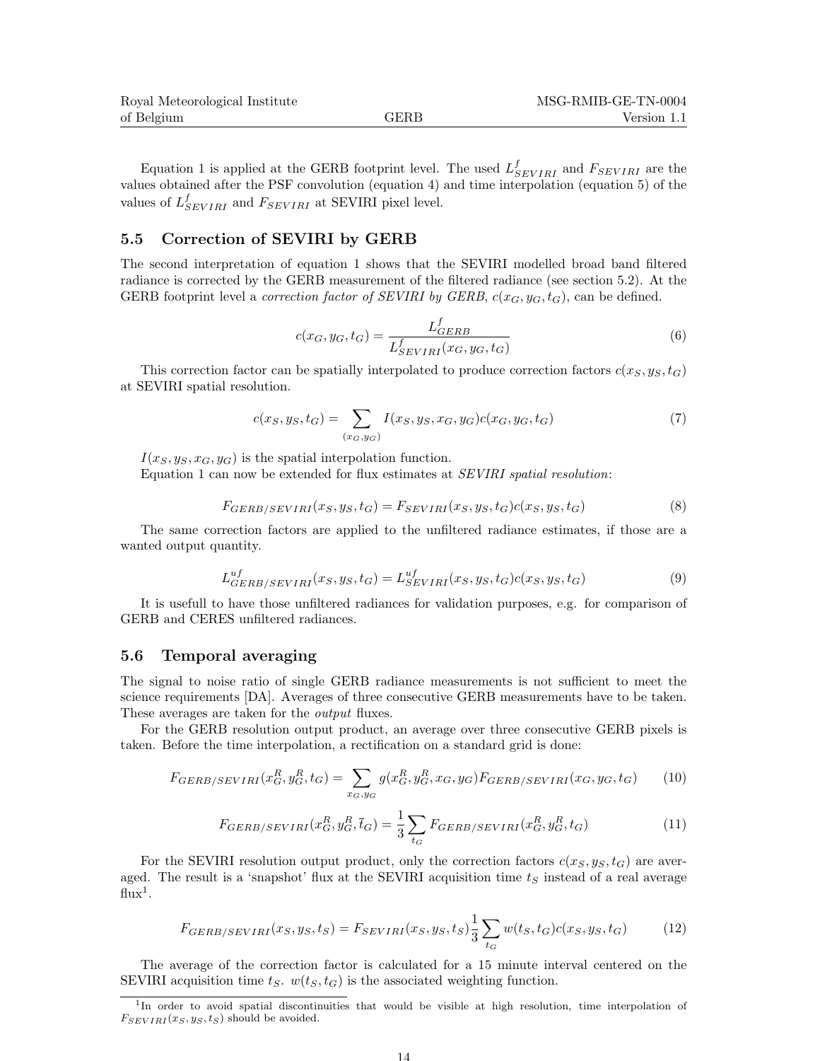| Royal Meteorological Institute |             | MSG-RMIB-GE-TN-0004 |
|--------------------------------|-------------|---------------------|
| of Belgium                     | <b>GERB</b> | Version 1.1         |

Equation 1 is applied at the GERB footprint level. The used  $L_{SEVIRI}^f$  and  $F_{SEVIRI}$  are the values obtained after the PSF convolution (equation 4) and time interpolation (equation 5) of the values of  $L_{SEVIRI}^f$  and  $F_{SEVIRI}$  at SEVIRI pixel level.

#### 5.5 Correction of SEVIRI by GERB

The second interpretation of equation 1 shows that the SEVIRI modelled broad band filtered radiance is corrected by the GERB measurement of the filtered radiance (see section 5.2). At the GERB footprint level a *correction factor of SEVIRI by GERB*,  $c(x_G, y_G, t_G)$ , can be defined.

$$
c(x_G, y_G, t_G) = \frac{L_{GERB}^f}{L_{SEVIRI}^f(x_G, y_G, t_G)}
$$
(6)

This correction factor can be spatially interpolated to produce correction factors  $c(x_S, y_S, t_G)$ at SEVIRI spatial resolution.

$$
c(x_S, y_S, t_G) = \sum_{(x_G, y_G)} I(x_S, y_S, x_G, y_G) c(x_G, y_G, t_G)
$$
\n(7)

 $I(x_S, y_S, x_G, y_G)$  is the spatial interpolation function.

Equation 1 can now be extended for flux estimates at SEVIRI spatial resolution:

$$
F_{GERB/SEVIRI}(x_S, y_S, t_G) = F_{SEVIRI}(x_S, y_S, t_G)c(x_S, y_S, t_G)
$$
\n
$$
(8)
$$

The same correction factors are applied to the unfiltered radiance estimates, if those are a wanted output quantity.

$$
L_{GERB/SEVIRI}^{uf}(x_S, y_S, t_G) = L_{SEVIRI}^{uf}(x_S, y_S, t_G)c(x_S, y_S, t_G)
$$
\n
$$
(9)
$$

It is usefull to have those unfiltered radiances for validation purposes, e.g. for comparison of GERB and CERES unfiltered radiances.

#### 5.6 Temporal averaging

The signal to noise ratio of single GERB radiance measurements is not sufficient to meet the science requirements [DA]. Averages of three consecutive GERB measurements have to be taken. These averages are taken for the output fluxes.

For the GERB resolution output product, an average over three consecutive GERB pixels is taken. Before the time interpolation, a rectification on a standard grid is done:

$$
F_{GERB/SEVIRI}(x_G^R, y_G^R, t_G) = \sum_{x_G, y_G} g(x_G^R, y_G^R, x_G, y_G) F_{GERB/SEVIRI}(x_G, y_G, t_G) \tag{10}
$$

$$
F_{GERB/SEVIRI}(x_G^R, y_G^R, \bar{t}_G) = \frac{1}{3} \sum_{t_G} F_{GERB/SEVIRI}(x_G^R, y_G^R, t_G)
$$
\n
$$
\tag{11}
$$

For the SEVIRI resolution output product, only the correction factors  $c(x_S, y_S, t_G)$  are averaged. The result is a 'snapshot' flux at the SEVIRI acquisition time  $t<sub>S</sub>$  instead of a real average  $\text{flux}^1$ .

$$
F_{GERB/SEVIRI}(x_S, y_S, t_S) = F_{SEVIRI}(x_S, y_S, t_S) \frac{1}{3} \sum_{t_G} w(t_S, t_G) c(x_S, y_S, t_G)
$$
(12)

The average of the correction factor is calculated for a 15 minute interval centered on the SEVIRI acquisition time  $t<sub>S</sub>$ .  $w(t<sub>S</sub>, t<sub>G</sub>)$  is the associated weighting function.

14

<sup>&</sup>lt;sup>1</sup>In order to avoid spatial discontinuities that would be visible at high resolution, time interpolation of  $F_{SEVIRI}(x_S, y_S, t_S)$  should be avoided.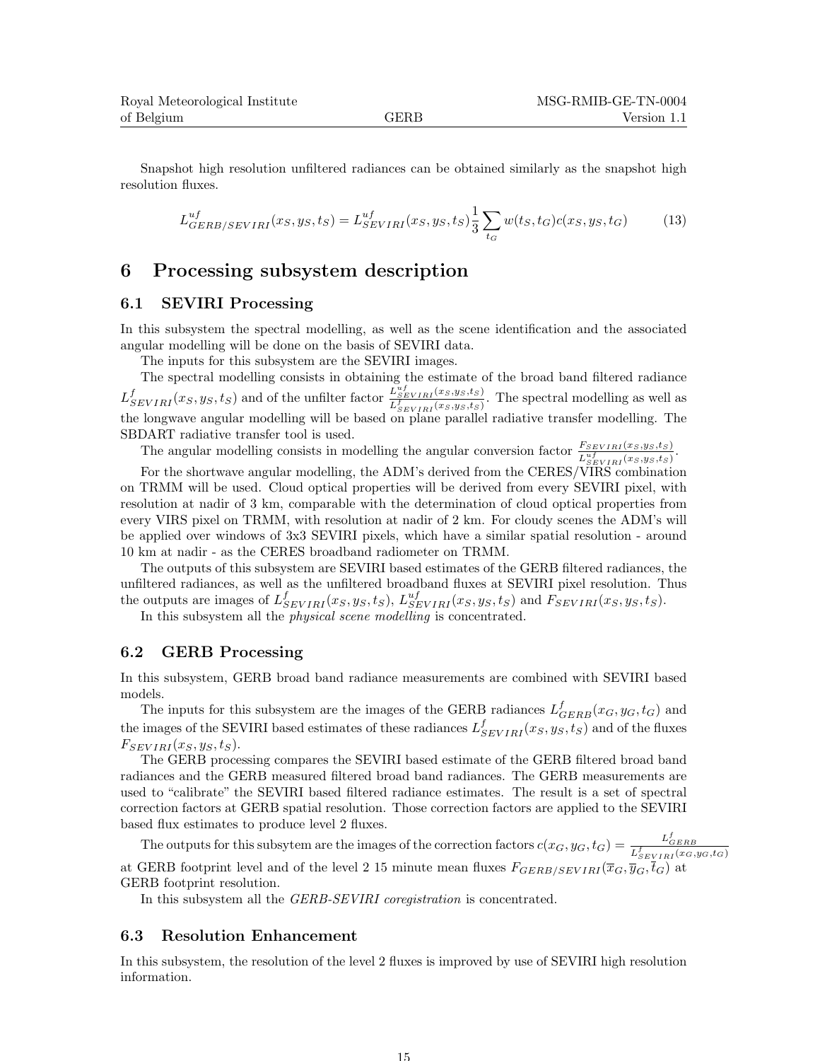Snapshot high resolution unfiltered radiances can be obtained similarly as the snapshot high resolution fluxes.

$$
L_{GERB/SEVIRI}^{uf}(x_S, y_S, t_S) = L_{SEVIRI}^{uf}(x_S, y_S, t_S) \frac{1}{3} \sum_{t_G} w(t_S, t_G) c(x_S, y_S, t_G)
$$
(13)

# 6 Processing subsystem description

#### 6.1 SEVIRI Processing

In this subsystem the spectral modelling, as well as the scene identification and the associated angular modelling will be done on the basis of SEVIRI data.

The inputs for this subsystem are the SEVIRI images.

The spectral modelling consists in obtaining the estimate of the broad band filtered radiance  $L_{SEVIRI}^{f}(x_S, y_S, t_S)$  and of the unfilter factor  $\frac{L_{SEVIRI}^{uf}(x_S, y_S, t_S)}{L_{\frac{f}{L}}^{f}(x_S, y_S, t_S)}$  $\frac{L_{SEVIRI}(x_S, y_S, t_S)}{L_{SEVIRI}^f(x_S, y_S, t_S)}$ . The spectral modelling as well as the longwave angular modelling will be based on plane parallel radiative transfer modelling. The SBDART radiative transfer tool is used.

The angular modelling consists in modelling the angular conversion factor  $\frac{F_{SEVIRI}(x_{S,ys,ts)}}{L_{SEVIRI}^{uf}(x_{S,ys,ts})}$ .

For the shortwave angular modelling, the ADM's derived from the CERES/VIRS combination on TRMM will be used. Cloud optical properties will be derived from every SEVIRI pixel, with resolution at nadir of 3 km, comparable with the determination of cloud optical properties from every VIRS pixel on TRMM, with resolution at nadir of 2 km. For cloudy scenes the ADM's will be applied over windows of 3x3 SEVIRI pixels, which have a similar spatial resolution - around 10 km at nadir - as the CERES broadband radiometer on TRMM.

The outputs of this subsystem are SEVIRI based estimates of the GERB filtered radiances, the unfiltered radiances, as well as the unfiltered broadband fluxes at SEVIRI pixel resolution. Thus the outputs are images of  $L_{SEVIRI}^f(x_S, y_S, t_S)$ ,  $L_{SEVIRI}^{uf}(x_S, y_S, t_S)$  and  $F_{SEVIRI}(x_S, y_S, t_S)$ .

In this subsystem all the physical scene modelling is concentrated.

### 6.2 GERB Processing

In this subsystem, GERB broad band radiance measurements are combined with SEVIRI based models.

The inputs for this subsystem are the images of the GERB radiances  $L_{GERB}^f(x_G, y_G, t_G)$  and the images of the SEVIRI based estimates of these radiances  $L_{SEVIRI}^f(x_S, y_S, t_S)$  and of the fluxes  $F_{SEVIRI}(x_S, y_S, t_S).$ 

The GERB processing compares the SEVIRI based estimate of the GERB filtered broad band radiances and the GERB measured filtered broad band radiances. The GERB measurements are used to "calibrate" the SEVIRI based filtered radiance estimates. The result is a set of spectral correction factors at GERB spatial resolution. Those correction factors are applied to the SEVIRI based flux estimates to produce level 2 fluxes.

The outputs for this subsytem are the images of the correction factors  $c(x_G, y_G, t_G) = \frac{L_{GERB}^f}{L_{SEVIRI}^f(x_G, y_G, t_G)}$ at GERB footprint level and of the level 2 15 minute mean fluxes  $F_{GERB/SEVIRI}(\bar{x}_G, \bar{y}_G, \bar{t}_G)$  at GERB footprint resolution.

In this subsystem all the *GERB-SEVIRI* coregistration is concentrated.

#### 6.3 Resolution Enhancement

In this subsystem, the resolution of the level 2 fluxes is improved by use of SEVIRI high resolution information.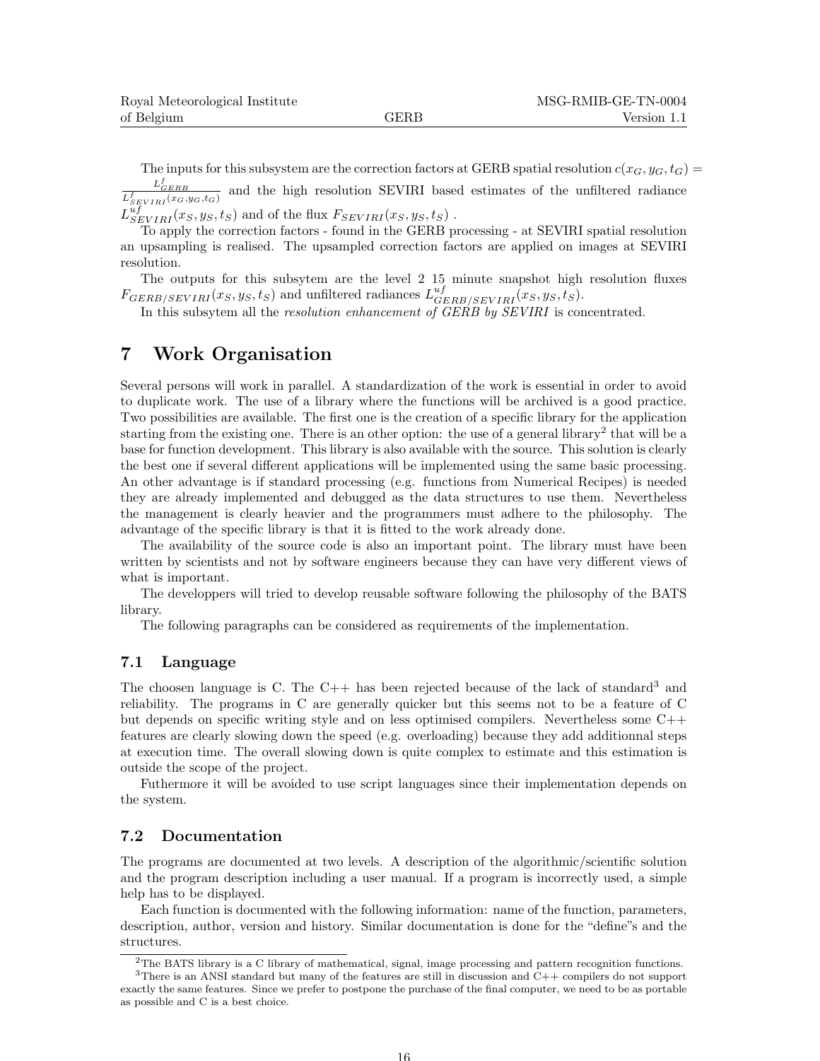| Royal Meteorological Institute |             | MSG-RMIB-GE-TN-0004 |
|--------------------------------|-------------|---------------------|
| of Belgium                     | <b>GERB</b> | Version 1.1         |

The inputs for this subsystem are the correction factors at GERB spatial resolution  $c(x_G, y_G, t_G)$  $\frac{L^f_{GERB}}{L^f_{SEVIRI}(x_G,y_G,t_G)}$ and the high resolution SEVIRI based estimates of the unfiltered radiance

 $L_{SEVIRI}^{uf}(x_S, y_S, t_S)$  and of the flux  $F_{SEVIRI}(x_S, y_S, t_S)$ .

To apply the correction factors - found in the GERB processing - at SEVIRI spatial resolution an upsampling is realised. The upsampled correction factors are applied on images at SEVIRI resolution.

The outputs for this subsytem are the level 2 15 minute snapshot high resolution fluxes  $F_{GERB/SEVIRI}(x_S, y_S, t_S)$  and unfiltered radiances  $L_{GERB/SEVIRI}^{uf}(x_S, y_S, t_S)$ .

In this subsytem all the *resolution enhancement of GERB by SEVIRI* is concentrated.

# 7 Work Organisation

Several persons will work in parallel. A standardization of the work is essential in order to avoid to duplicate work. The use of a library where the functions will be archived is a good practice. Two possibilities are available. The first one is the creation of a specific library for the application starting from the existing one. There is an other option: the use of a general library<sup>2</sup> that will be a base for function development. This library is also available with the source. This solution is clearly the best one if several different applications will be implemented using the same basic processing. An other advantage is if standard processing (e.g. functions from Numerical Recipes) is needed they are already implemented and debugged as the data structures to use them. Nevertheless the management is clearly heavier and the programmers must adhere to the philosophy. The advantage of the specific library is that it is fitted to the work already done.

The availability of the source code is also an important point. The library must have been written by scientists and not by software engineers because they can have very different views of what is important.

The developpers will tried to develop reusable software following the philosophy of the BATS library.

The following paragraphs can be considered as requirements of the implementation.

#### 7.1 Language

The choosen language is C. The  $C_{++}$  has been rejected because of the lack of standard<sup>3</sup> and reliability. The programs in C are generally quicker but this seems not to be a feature of C but depends on specific writing style and on less optimised compilers. Nevertheless some C++ features are clearly slowing down the speed (e.g. overloading) because they add additionnal steps at execution time. The overall slowing down is quite complex to estimate and this estimation is outside the scope of the project.

Futhermore it will be avoided to use script languages since their implementation depends on the system.

### 7.2 Documentation

The programs are documented at two levels. A description of the algorithmic/scientific solution and the program description including a user manual. If a program is incorrectly used, a simple help has to be displayed.

Each function is documented with the following information: name of the function, parameters, description, author, version and history. Similar documentation is done for the "define"s and the structures.

16

<sup>2</sup>The BATS library is a C library of mathematical, signal, image processing and pattern recognition functions. <sup>3</sup>There is an ANSI standard but many of the features are still in discussion and C++ compilers do not support exactly the same features. Since we prefer to postpone the purchase of the final computer, we need to be as portable as possible and C is a best choice.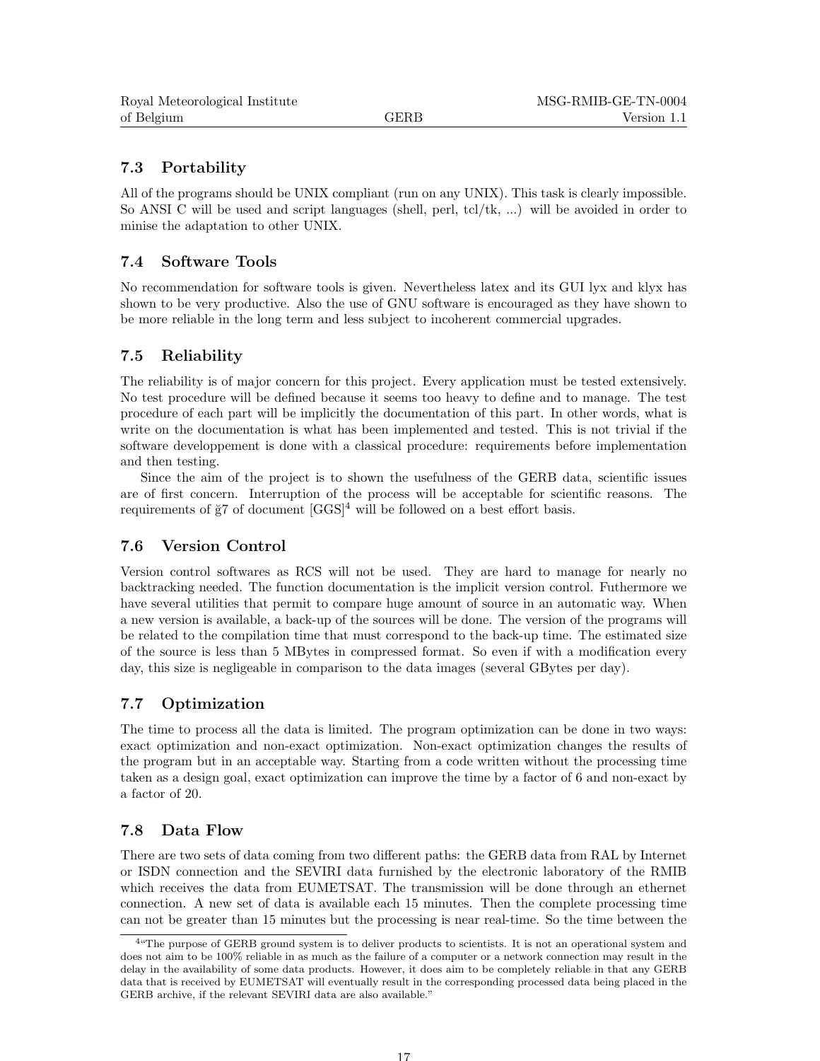# 7.3 Portability

All of the programs should be UNIX compliant (run on any UNIX). This task is clearly impossible. So ANSI C will be used and script languages (shell, perl, tcl/tk, ...) will be avoided in order to minise the adaptation to other UNIX.

# 7.4 Software Tools

No recommendation for software tools is given. Nevertheless latex and its GUI lyx and klyx has shown to be very productive. Also the use of GNU software is encouraged as they have shown to be more reliable in the long term and less subject to incoherent commercial upgrades.

# 7.5 Reliability

The reliability is of major concern for this project. Every application must be tested extensively. No test procedure will be defined because it seems too heavy to define and to manage. The test procedure of each part will be implicitly the documentation of this part. In other words, what is write on the documentation is what has been implemented and tested. This is not trivial if the software developpement is done with a classical procedure: requirements before implementation and then testing.

Since the aim of the project is to shown the usefulness of the GERB data, scientific issues are of first concern. Interruption of the process will be acceptable for scientific reasons. The requirements of  $\breve{g}7$  of document  $[GGS]^4$  will be followed on a best effort basis.

# 7.6 Version Control

Version control softwares as RCS will not be used. They are hard to manage for nearly no backtracking needed. The function documentation is the implicit version control. Futhermore we have several utilities that permit to compare huge amount of source in an automatic way. When a new version is available, a back-up of the sources will be done. The version of the programs will be related to the compilation time that must correspond to the back-up time. The estimated size of the source is less than 5 MBytes in compressed format. So even if with a modification every day, this size is negligeable in comparison to the data images (several GBytes per day).

# 7.7 Optimization

The time to process all the data is limited. The program optimization can be done in two ways: exact optimization and non-exact optimization. Non-exact optimization changes the results of the program but in an acceptable way. Starting from a code written without the processing time taken as a design goal, exact optimization can improve the time by a factor of 6 and non-exact by a factor of 20.

# 7.8 Data Flow

There are two sets of data coming from two different paths: the GERB data from RAL by Internet or ISDN connection and the SEVIRI data furnished by the electronic laboratory of the RMIB which receives the data from EUMETSAT. The transmission will be done through an ethernet connection. A new set of data is available each 15 minutes. Then the complete processing time can not be greater than 15 minutes but the processing is near real-time. So the time between the

<sup>&</sup>lt;sup>4"</sup>The purpose of GERB ground system is to deliver products to scientists. It is not an operational system and does not aim to be 100% reliable in as much as the failure of a computer or a network connection may result in the delay in the availability of some data products. However, it does aim to be completely reliable in that any GERB data that is received by EUMETSAT will eventually result in the corresponding processed data being placed in the GERB archive, if the relevant SEVIRI data are also available."